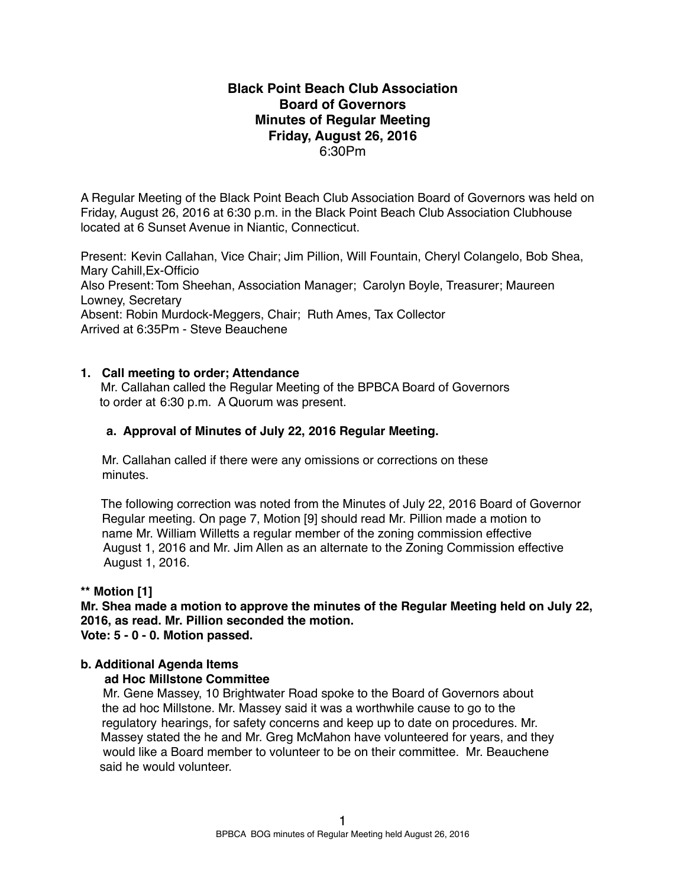## **Black Point Beach Club Association Board of Governors Minutes of Regular Meeting Friday, August 26, 2016** 6:30Pm

A Regular Meeting of the Black Point Beach Club Association Board of Governors was held on Friday, August 26, 2016 at 6:30 p.m. in the Black Point Beach Club Association Clubhouse located at 6 Sunset Avenue in Niantic, Connecticut.

Present: Kevin Callahan, Vice Chair; Jim Pillion, Will Fountain, Cheryl Colangelo, Bob Shea, Mary Cahill,Ex-Officio Also Present: Tom Sheehan, Association Manager; Carolyn Boyle, Treasurer; Maureen Lowney, Secretary Absent: Robin Murdock-Meggers, Chair; Ruth Ames, Tax Collector Arrived at 6:35Pm - Steve Beauchene

### **1. Call meeting to order; Attendance**

Mr. Callahan called the Regular Meeting of the BPBCA Board of Governors to order at 6:30 p.m. A Quorum was present.

### **a. Approval of Minutes of July 22, 2016 Regular Meeting.**

Mr. Callahan called if there were any omissions or corrections on these minutes.

 The following correction was noted from the Minutes of July 22, 2016 Board of Governor Regular meeting. On page 7, Motion [9] should read Mr. Pillion made a motion to name Mr. William Willetts a regular member of the zoning commission effective August 1, 2016 and Mr. Jim Allen as an alternate to the Zoning Commission effective August 1, 2016.

### **\*\* Motion [1]**

**Mr. Shea made a motion to approve the minutes of the Regular Meeting held on July 22, 2016, as read. Mr. Pillion seconded the motion.**

**Vote: 5 - 0 - 0. Motion passed.**

#### **b. Additional Agenda Items**

#### **ad Hoc Millstone Committee**

Mr. Gene Massey, 10 Brightwater Road spoke to the Board of Governors about the ad hoc Millstone. Mr. Massey said it was a worthwhile cause to go to the regulatory hearings, for safety concerns and keep up to date on procedures. Mr. Massey stated the he and Mr. Greg McMahon have volunteered for years, and they would like a Board member to volunteer to be on their committee. Mr. Beauchene said he would volunteer.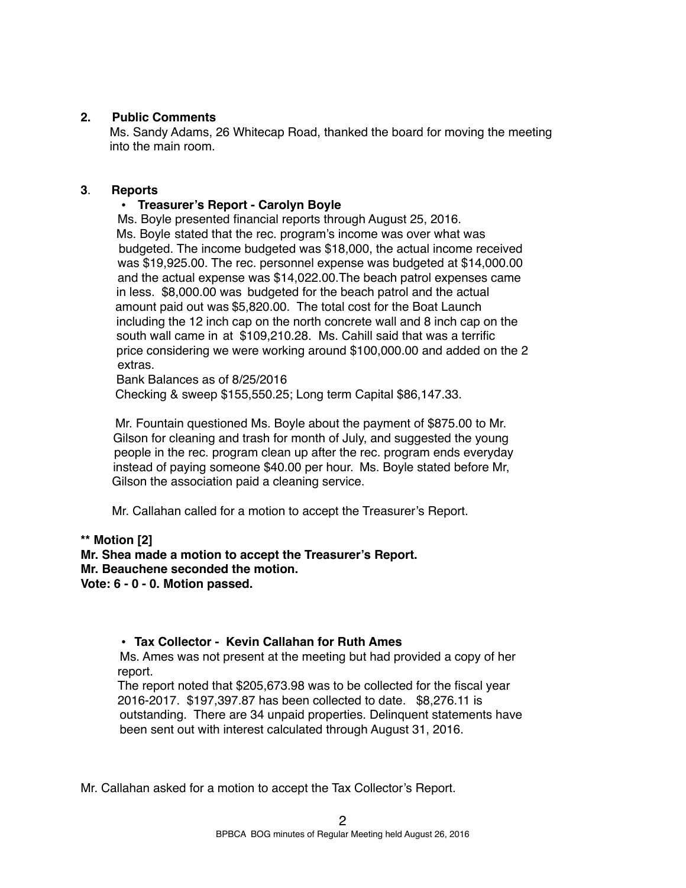### **2. Public Comments**

Ms. Sandy Adams, 26 Whitecap Road, thanked the board for moving the meeting into the main room.

#### **3**. **Reports**

## • **Treasurer's Report - Carolyn Boyle**

Ms. Boyle presented financial reports through August 25, 2016. Ms. Boyle stated that the rec. program's income was over what was budgeted. The income budgeted was \$18,000, the actual income received was \$19,925.00. The rec. personnel expense was budgeted at \$14,000.00 and the actual expense was \$14,022.00.The beach patrol expenses came in less. \$8,000.00 was budgeted for the beach patrol and the actual amount paid out was \$5,820.00. The total cost for the Boat Launch including the 12 inch cap on the north concrete wall and 8 inch cap on the south wall came in at \$109,210.28. Ms. Cahill said that was a terrific price considering we were working around \$100,000.00 and added on the 2 extras.

 Bank Balances as of 8/25/2016 Checking & sweep \$155,550.25; Long term Capital \$86,147.33.

Mr. Fountain questioned Ms. Boyle about the payment of \$875.00 to Mr. Gilson for cleaning and trash for month of July, and suggested the young people in the rec. program clean up after the rec. program ends everyday instead of paying someone \$40.00 per hour. Ms. Boyle stated before Mr, Gilson the association paid a cleaning service.

Mr. Callahan called for a motion to accept the Treasurer's Report.

**\*\* Motion [2]**

**Mr. Shea made a motion to accept the Treasurer's Report. Mr. Beauchene seconded the motion.**

**Vote: 6 - 0 - 0. Motion passed.** 

## **• Tax Collector - Kevin Callahan for Ruth Ames**

Ms. Ames was not present at the meeting but had provided a copy of her report.

The report noted that \$205,673.98 was to be collected for the fiscal year 2016-2017. \$197,397.87 has been collected to date. \$8,276.11 is outstanding. There are 34 unpaid properties. Delinquent statements have been sent out with interest calculated through August 31, 2016.

Mr. Callahan asked for a motion to accept the Tax Collector's Report.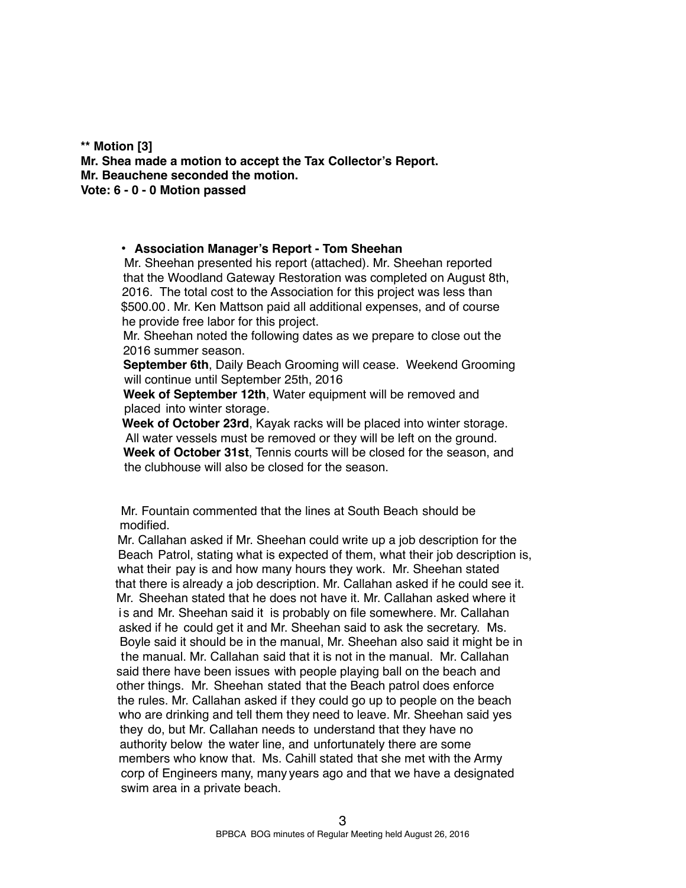**\*\* Motion [3] Mr. Shea made a motion to accept the Tax Collector's Report. Mr. Beauchene seconded the motion. Vote: 6 - 0 - 0 Motion passed**

#### **• Association Manager's Report - Tom Sheehan**

Mr. Sheehan presented his report (attached). Mr. Sheehan reported that the Woodland Gateway Restoration was completed on August 8th, 2016. The total cost to the Association for this project was less than \$500.00. Mr. Ken Mattson paid all additional expenses, and of course he provide free labor for this project.

Mr. Sheehan noted the following dates as we prepare to close out the 2016 summer season.

**September 6th**, Daily Beach Grooming will cease. Weekend Grooming will continue until September 25th, 2016

**Week of September 12th**, Water equipment will be removed and placed into winter storage.

**Week of October 23rd**, Kayak racks will be placed into winter storage. All water vessels must be removed or they will be left on the ground. **Week of October 31st**, Tennis courts will be closed for the season, and the clubhouse will also be closed for the season.

Mr. Fountain commented that the lines at South Beach should be modified.

Mr. Callahan asked if Mr. Sheehan could write up a job description for the Beach Patrol, stating what is expected of them, what their job description is, what their pay is and how many hours they work. Mr. Sheehan stated that there is already a job description. Mr. Callahan asked if he could see it. Mr. Sheehan stated that he does not have it. Mr. Callahan asked where it is and Mr. Sheehan said it is probably on file somewhere. Mr. Callahan asked if he could get it and Mr. Sheehan said to ask the secretary. Ms. Boyle said it should be in the manual, Mr. Sheehan also said it might be in the manual. Mr. Callahan said that it is not in the manual. Mr. Callahan said there have been issues with people playing ball on the beach and other things. Mr. Sheehan stated that the Beach patrol does enforce the rules. Mr. Callahan asked if they could go up to people on the beach who are drinking and tell them they need to leave. Mr. Sheehan said yes they do, but Mr. Callahan needs to understand that they have no authority below the water line, and unfortunately there are some members who know that. Ms. Cahill stated that she met with the Army corp of Engineers many, many years ago and that we have a designated swim area in a private beach.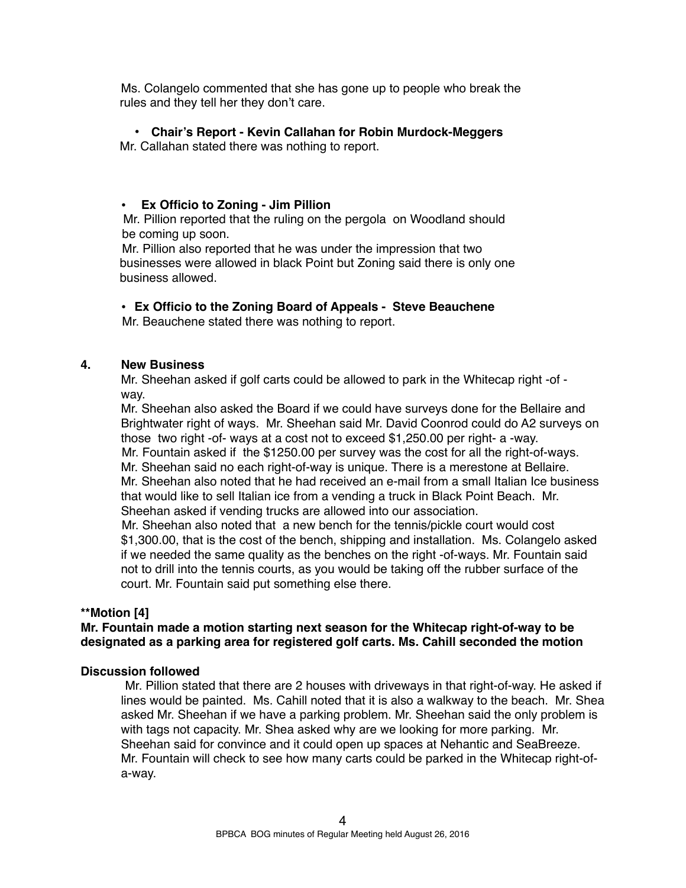Ms. Colangelo commented that she has gone up to people who break the rules and they tell her they don't care.

## **• Chair's Report - Kevin Callahan for Robin Murdock-Meggers**

Mr. Callahan stated there was nothing to report.

## **• Ex Officio to Zoning - Jim Pillion**

Mr. Pillion reported that the ruling on the pergola on Woodland should be coming up soon.

Mr. Pillion also reported that he was under the impression that two businesses were allowed in black Point but Zoning said there is only one business allowed.

• **Ex Officio to the Zoning Board of Appeals - Steve Beauchene**

Mr. Beauchene stated there was nothing to report.

## **4. New Business**

Mr. Sheehan asked if golf carts could be allowed to park in the Whitecap right -of way.

Mr. Sheehan also asked the Board if we could have surveys done for the Bellaire and Brightwater right of ways. Mr. Sheehan said Mr. David Coonrod could do A2 surveys on those two right -of- ways at a cost not to exceed \$1,250.00 per right- a -way. Mr. Fountain asked if the \$1250.00 per survey was the cost for all the right-of-ways. Mr. Sheehan said no each right-of-way is unique. There is a merestone at Bellaire. Mr. Sheehan also noted that he had received an e-mail from a small Italian Ice business that would like to sell Italian ice from a vending a truck in Black Point Beach. Mr. Sheehan asked if vending trucks are allowed into our association.

 Mr. Sheehan also noted that a new bench for the tennis/pickle court would cost \$1,300.00, that is the cost of the bench, shipping and installation. Ms. Colangelo asked if we needed the same quality as the benches on the right -of-ways. Mr. Fountain said not to drill into the tennis courts, as you would be taking off the rubber surface of the court. Mr. Fountain said put something else there.

## **\*\*Motion [4]**

## **Mr. Fountain made a motion starting next season for the Whitecap right-of-way to be designated as a parking area for registered golf carts. Ms. Cahill seconded the motion**

## **Discussion followed**

 Mr. Pillion stated that there are 2 houses with driveways in that right-of-way. He asked if lines would be painted. Ms. Cahill noted that it is also a walkway to the beach. Mr. Shea asked Mr. Sheehan if we have a parking problem. Mr. Sheehan said the only problem is with tags not capacity. Mr. Shea asked why are we looking for more parking. Mr. Sheehan said for convince and it could open up spaces at Nehantic and SeaBreeze. Mr. Fountain will check to see how many carts could be parked in the Whitecap right-ofa-way.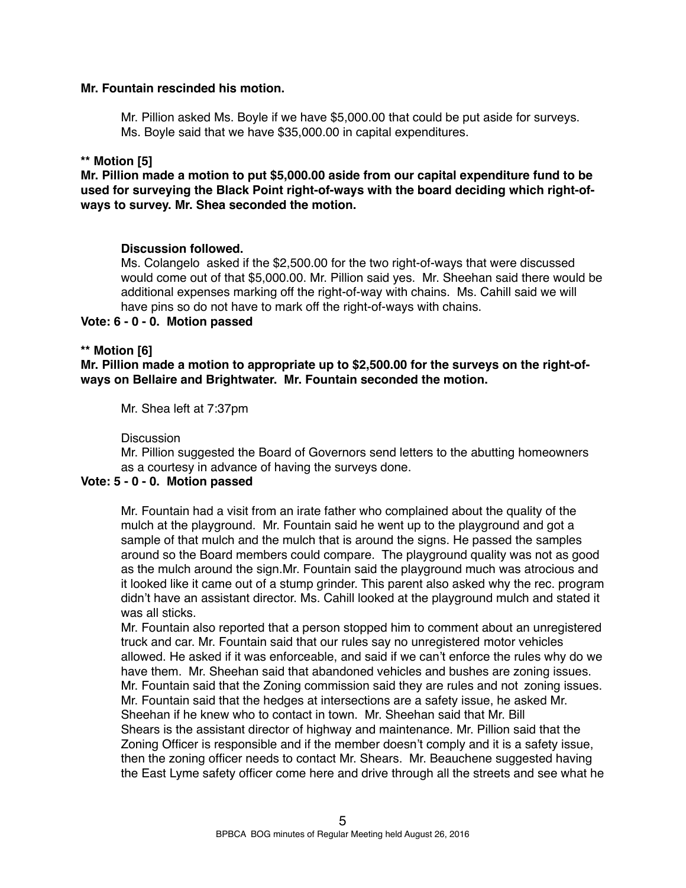### **Mr. Fountain rescinded his motion.**

Mr. Pillion asked Ms. Boyle if we have \$5,000.00 that could be put aside for surveys. Ms. Boyle said that we have \$35,000.00 in capital expenditures.

## **\*\* Motion [5]**

**Mr. Pillion made a motion to put \$5,000.00 aside from our capital expenditure fund to be used for surveying the Black Point right-of-ways with the board deciding which right-ofways to survey. Mr. Shea seconded the motion.**

#### **Discussion followed.**

Ms. Colangelo asked if the \$2,500.00 for the two right-of-ways that were discussed would come out of that \$5,000.00. Mr. Pillion said yes. Mr. Sheehan said there would be additional expenses marking off the right-of-way with chains. Ms. Cahill said we will have pins so do not have to mark off the right-of-ways with chains.

**Vote: 6 - 0 - 0. Motion passed**

#### **\*\* Motion [6]**

**Mr. Pillion made a motion to appropriate up to \$2,500.00 for the surveys on the right-ofways on Bellaire and Brightwater. Mr. Fountain seconded the motion.** 

Mr. Shea left at 7:37pm

**Discussion** 

Mr. Pillion suggested the Board of Governors send letters to the abutting homeowners as a courtesy in advance of having the surveys done.

## **Vote: 5 - 0 - 0. Motion passed**

Mr. Fountain had a visit from an irate father who complained about the quality of the mulch at the playground. Mr. Fountain said he went up to the playground and got a sample of that mulch and the mulch that is around the signs. He passed the samples around so the Board members could compare. The playground quality was not as good as the mulch around the sign.Mr. Fountain said the playground much was atrocious and it looked like it came out of a stump grinder. This parent also asked why the rec. program didn't have an assistant director. Ms. Cahill looked at the playground mulch and stated it was all sticks.

Mr. Fountain also reported that a person stopped him to comment about an unregistered truck and car. Mr. Fountain said that our rules say no unregistered motor vehicles allowed. He asked if it was enforceable, and said if we can't enforce the rules why do we have them. Mr. Sheehan said that abandoned vehicles and bushes are zoning issues. Mr. Fountain said that the Zoning commission said they are rules and not zoning issues. Mr. Fountain said that the hedges at intersections are a safety issue, he asked Mr. Sheehan if he knew who to contact in town. Mr. Sheehan said that Mr. Bill Shears is the assistant director of highway and maintenance. Mr. Pillion said that the Zoning Officer is responsible and if the member doesn't comply and it is a safety issue, then the zoning officer needs to contact Mr. Shears. Mr. Beauchene suggested having the East Lyme safety officer come here and drive through all the streets and see what he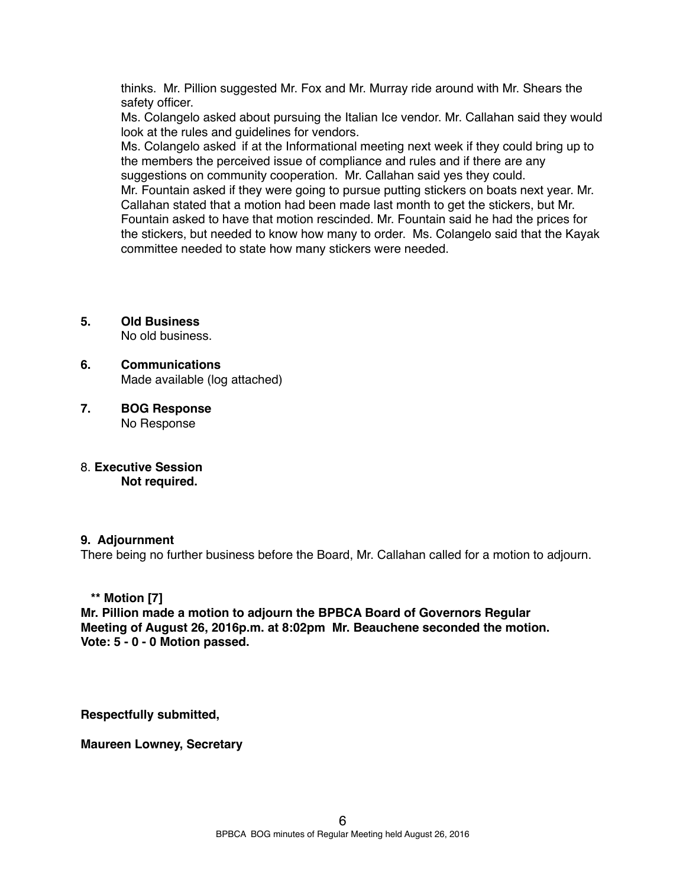thinks. Mr. Pillion suggested Mr. Fox and Mr. Murray ride around with Mr. Shears the safety officer.

Ms. Colangelo asked about pursuing the Italian Ice vendor. Mr. Callahan said they would look at the rules and guidelines for vendors.

Ms. Colangelo asked if at the Informational meeting next week if they could bring up to the members the perceived issue of compliance and rules and if there are any suggestions on community cooperation. Mr. Callahan said yes they could.

Mr. Fountain asked if they were going to pursue putting stickers on boats next year. Mr. Callahan stated that a motion had been made last month to get the stickers, but Mr. Fountain asked to have that motion rescinded. Mr. Fountain said he had the prices for the stickers, but needed to know how many to order. Ms. Colangelo said that the Kayak committee needed to state how many stickers were needed.

**5. Old Business**

No old business.

- **6. Communications** Made available (log attached)
- **7. BOG Response**  No Response
- 8. **Executive Session Not required.**

#### **9. Adjournment**

There being no further business before the Board, Mr. Callahan called for a motion to adjourn.

## **\*\* Motion [7]**

**Mr. Pillion made a motion to adjourn the BPBCA Board of Governors Regular Meeting of August 26, 2016p.m. at 8:02pm Mr. Beauchene seconded the motion. Vote: 5 - 0 - 0 Motion passed.**

**Respectfully submitted,**

**Maureen Lowney, Secretary**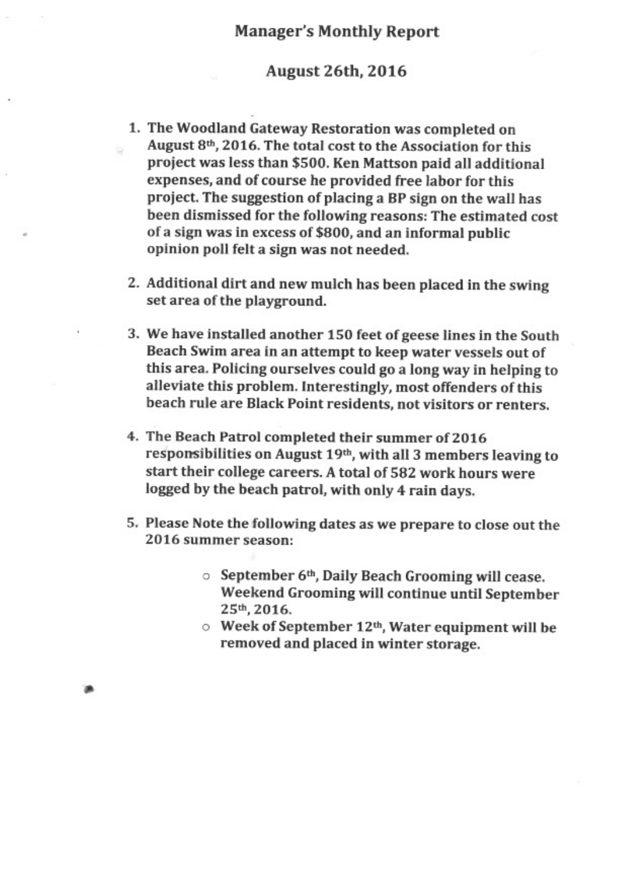# **Manager's Monthly Report**

## **August 26th, 2016**

- 1. The Woodland Gateway Restoration was completed on August 8th, 2016. The total cost to the Association for this project was less than \$500. Ken Mattson paid all additional expenses, and of course he provided free labor for this project. The suggestion of placing a BP sign on the wall has been dismissed for the following reasons: The estimated cost of a sign was in excess of \$800, and an informal public opinion poll felt a sign was not needed.
- 2. Additional dirt and new mulch has been placed in the swing set area of the playground.
- 3. We have installed another 150 feet of geese lines in the South Beach Swim area in an attempt to keep water vessels out of this area. Policing ourselves could go a long way in helping to alleviate this problem. Interestingly, most offenders of this beach rule are Black Point residents, not visitors or renters.
- 4. The Beach Patrol completed their summer of 2016 responsibilities on August 19th, with all 3 members leaving to start their college careers. A total of 582 work hours were logged by the beach patrol, with only 4 rain days.
- 5. Please Note the following dates as we prepare to close out the 2016 summer season:
	- **September 6th, Daily Beach Grooming will cease.** Weekend Grooming will continue until September 25th, 2016.
	- $\circ$  Week of September 12<sup>th</sup>, Water equipment will be removed and placed in winter storage.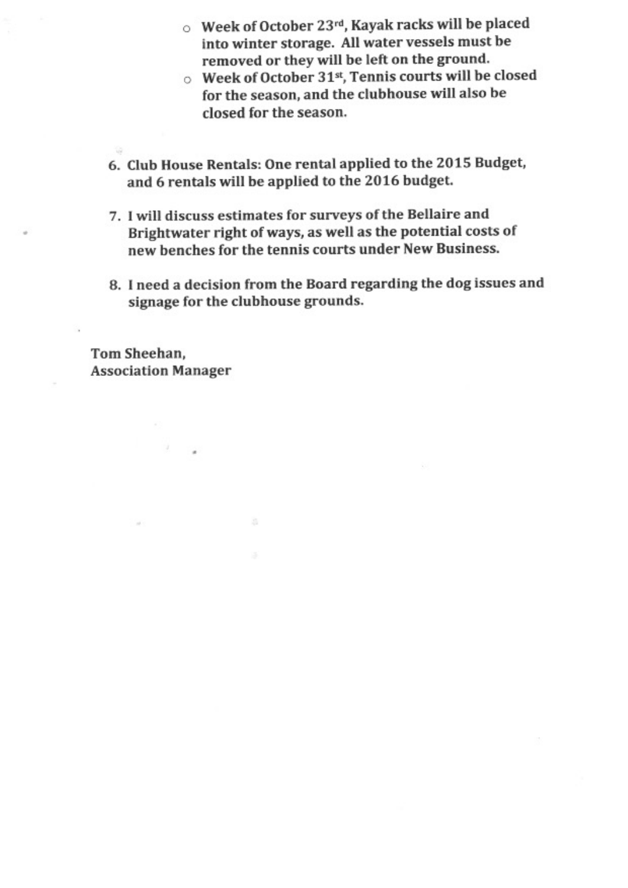- $\circ$  Week of October 23rd, Kayak racks will be placed into winter storage. All water vessels must be removed or they will be left on the ground.
- Week of October 31<sup>st</sup>, Tennis courts will be closed for the season, and the clubhouse will also be closed for the season.
- 6. Club House Rentals: One rental applied to the 2015 Budget, and 6 rentals will be applied to the 2016 budget.
- 7. I will discuss estimates for surveys of the Bellaire and Brightwater right of ways, as well as the potential costs of new benches for the tennis courts under New Business.
- 8. I need a decision from the Board regarding the dog issues and signage for the clubhouse grounds.

Tom Sheehan, **Association Manager**